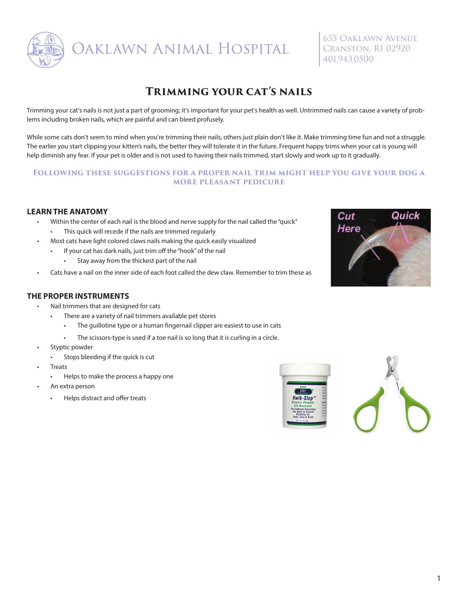

**DAKLAWN ANIMAL HOSPITAL** 

655 Oaklawn Avenue Cranston, RI 02920 401.943.0500

# **Trimming your cat's nails**

Trimming your cat's nails is not just a part of grooming; it's important for your pet's health as well. Untrimmed nails can cause a variety of problems including broken nails, which are painful and can bleed profusely.

While some cats don't seem to mind when you're trimming their nails, others just plain don't like it. Make trimming time fun and not a struggle. The earlier you start clipping your kitten's nails, the better they will tolerate it in the future. Frequent happy trims when your cat is young will help diminish any fear. If your pet is older and is not used to having their nails trimmed, start slowly and work up to it gradually.

### **Following these suggestions for a proper nail trim might help you give your dog a more pleasant pedicure**

## **LEARN THE ANATOMY**

- Within the center of each nail is the blood and nerve supply for the nail called the "quick" • This quick will recede if the nails are trimmed regularly
- Most cats have light colored claws nails making the quick easily visualized
	- If your cat has dark nails, just trim off the "hook" of the nail
		- Stay away from the thickest part of the nail
- Cats have a nail on the inner side of each foot called the dew claw. Remember to trim these as



- Nail trimmers that are designed for cats
	- There are a variety of nail trimmers available pet stores
		- The guillotine type or a human fingernail clipper are easiest to use in cats
		- The scissors-type is used if a toe nail is so long that it is curling in a circle.
- Styptic powder
	- Stops bleeding if the quick is cut
- **Treats** 
	- Helps to make the process a happy one
- An extra person
	- Helps distract and offer treats